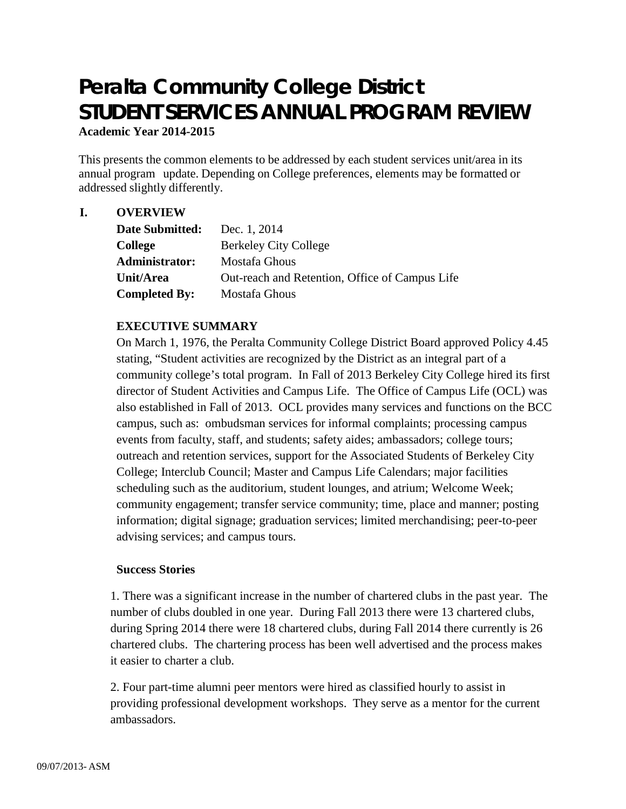# **Peralta Community College District STUDENT SERVICES ANNUAL PROGRAM REVIEW Academic Year 2014-2015**

This presents the common elements to be addressed by each student services unit/area in its annual program update. Depending on College preferences, elements may be formatted or addressed slightly differently.

## **I. OVERVIEW**

| <b>Date Submitted:</b> | Dec. 1, 2014                                   |
|------------------------|------------------------------------------------|
| <b>College</b>         | <b>Berkeley City College</b>                   |
| <b>Administrator:</b>  | Mostafa Ghous                                  |
| Unit/Area              | Out-reach and Retention, Office of Campus Life |
| <b>Completed By:</b>   | Mostafa Ghous                                  |

## **EXECUTIVE SUMMARY**

On March 1, 1976, the Peralta Community College District Board approved Policy 4.45 stating, "Student activities are recognized by the District as an integral part of a community college's total program. In Fall of 2013 Berkeley City College hired its first director of Student Activities and Campus Life. The Office of Campus Life (OCL) was also established in Fall of 2013. OCL provides many services and functions on the BCC campus, such as: ombudsman services for informal complaints; processing campus events from faculty, staff, and students; safety aides; ambassadors; college tours; outreach and retention services, support for the Associated Students of Berkeley City College; Interclub Council; Master and Campus Life Calendars; major facilities scheduling such as the auditorium, student lounges, and atrium; Welcome Week; community engagement; transfer service community; time, place and manner; posting information; digital signage; graduation services; limited merchandising; peer-to-peer advising services; and campus tours.

## **Success Stories**

1. There was a significant increase in the number of chartered clubs in the past year. The number of clubs doubled in one year. During Fall 2013 there were 13 chartered clubs, during Spring 2014 there were 18 chartered clubs, during Fall 2014 there currently is 26 chartered clubs. The chartering process has been well advertised and the process makes it easier to charter a club.

2. Four part-time alumni peer mentors were hired as classified hourly to assist in providing professional development workshops. They serve as a mentor for the current ambassadors.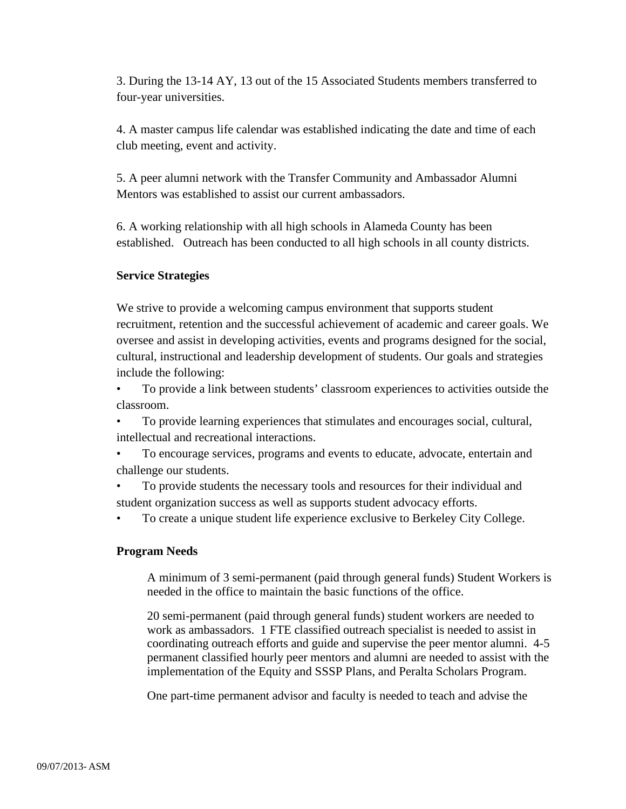3. During the 13-14 AY, 13 out of the 15 Associated Students members transferred to four-year universities.

4. A master campus life calendar was established indicating the date and time of each club meeting, event and activity.

5. A peer alumni network with the Transfer Community and Ambassador Alumni Mentors was established to assist our current ambassadors.

6. A working relationship with all high schools in Alameda County has been established. Outreach has been conducted to all high schools in all county districts.

## **Service Strategies**

We strive to provide a welcoming campus environment that supports student recruitment, retention and the successful achievement of academic and career goals. We oversee and assist in developing activities, events and programs designed for the social, cultural, instructional and leadership development of students. Our goals and strategies include the following:

• To provide a link between students' classroom experiences to activities outside the classroom.

• To provide learning experiences that stimulates and encourages social, cultural, intellectual and recreational interactions.

• To encourage services, programs and events to educate, advocate, entertain and challenge our students.

• To provide students the necessary tools and resources for their individual and student organization success as well as supports student advocacy efforts.

• To create a unique student life experience exclusive to Berkeley City College.

## **Program Needs**

A minimum of 3 semi-permanent (paid through general funds) Student Workers is needed in the office to maintain the basic functions of the office.

20 semi-permanent (paid through general funds) student workers are needed to work as ambassadors. 1 FTE classified outreach specialist is needed to assist in coordinating outreach efforts and guide and supervise the peer mentor alumni. 4-5 permanent classified hourly peer mentors and alumni are needed to assist with the implementation of the Equity and SSSP Plans, and Peralta Scholars Program.

One part-time permanent advisor and faculty is needed to teach and advise the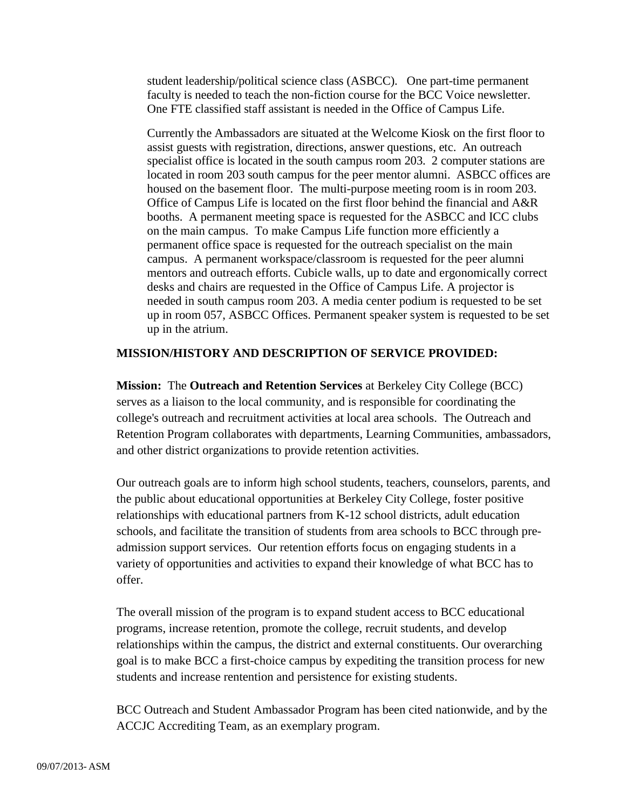student leadership/political science class (ASBCC). One part-time permanent faculty is needed to teach the non-fiction course for the BCC Voice newsletter. One FTE classified staff assistant is needed in the Office of Campus Life.

Currently the Ambassadors are situated at the Welcome Kiosk on the first floor to assist guests with registration, directions, answer questions, etc. An outreach specialist office is located in the south campus room 203. 2 computer stations are located in room 203 south campus for the peer mentor alumni. ASBCC offices are housed on the basement floor. The multi-purpose meeting room is in room 203. Office of Campus Life is located on the first floor behind the financial and A&R booths. A permanent meeting space is requested for the ASBCC and ICC clubs on the main campus. To make Campus Life function more efficiently a permanent office space is requested for the outreach specialist on the main campus. A permanent workspace/classroom is requested for the peer alumni mentors and outreach efforts. Cubicle walls, up to date and ergonomically correct desks and chairs are requested in the Office of Campus Life. A projector is needed in south campus room 203. A media center podium is requested to be set up in room 057, ASBCC Offices. Permanent speaker system is requested to be set up in the atrium.

#### **MISSION/HISTORY AND DESCRIPTION OF SERVICE PROVIDED:**

**Mission:** The **Outreach and Retention Services** at Berkeley City College (BCC) serves as a liaison to the local community, and is responsible for coordinating the college's outreach and recruitment activities at local area schools. The Outreach and Retention Program collaborates with departments, Learning Communities, ambassadors, and other district organizations to provide retention activities.

Our outreach goals are to inform high school students, teachers, counselors, parents, and the public about educational opportunities at Berkeley City College, foster positive relationships with educational partners from K-12 school districts, adult education schools, and facilitate the transition of students from area schools to BCC through preadmission support services. Our retention efforts focus on engaging students in a variety of opportunities and activities to expand their knowledge of what BCC has to offer.

The overall mission of the program is to expand student access to BCC educational programs, increase retention, promote the college, recruit students, and develop relationships within the campus, the district and external constituents. Our overarching goal is to make BCC a first-choice campus by expediting the transition process for new students and increase rentention and persistence for existing students.

BCC Outreach and Student Ambassador Program has been cited nationwide, and by the ACCJC Accrediting Team, as an exemplary program.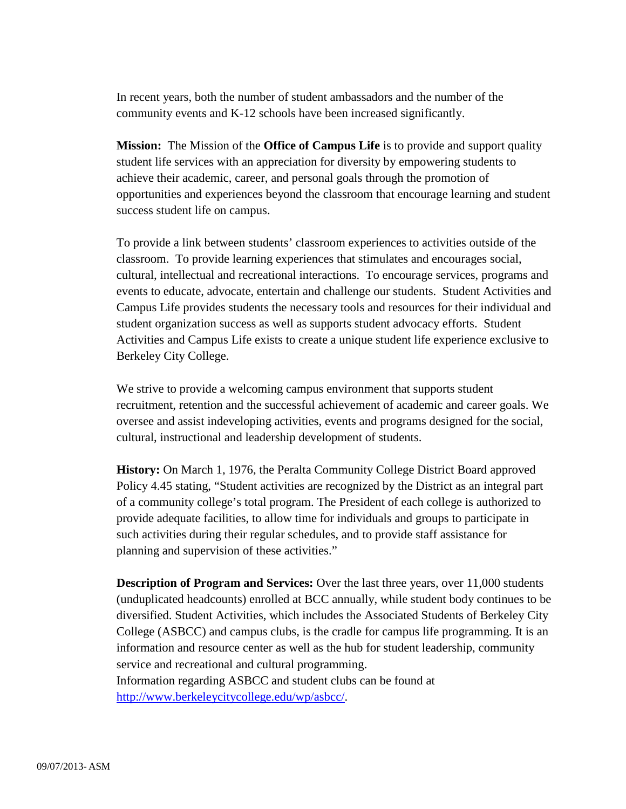In recent years, both the number of student ambassadors and the number of the community events and K-12 schools have been increased significantly.

**Mission:** The Mission of the **Office of Campus Life** is to provide and support quality student life services with an appreciation for diversity by empowering students to achieve their academic, career, and personal goals through the promotion of opportunities and experiences beyond the classroom that encourage learning and student success student life on campus.

To provide a link between students' classroom experiences to activities outside of the classroom. To provide learning experiences that stimulates and encourages social, cultural, intellectual and recreational interactions. To encourage services, programs and events to educate, advocate, entertain and challenge our students. Student Activities and Campus Life provides students the necessary tools and resources for their individual and student organization success as well as supports student advocacy efforts. Student Activities and Campus Life exists to create a unique student life experience exclusive to Berkeley City College.

We strive to provide a welcoming campus environment that supports student recruitment, retention and the successful achievement of academic and career goals. We oversee and assist indeveloping activities, events and programs designed for the social, cultural, instructional and leadership development of students.

**History:** On March 1, 1976, the Peralta Community College District Board approved Policy 4.45 stating, "Student activities are recognized by the District as an integral part of a community college's total program. The President of each college is authorized to provide adequate facilities, to allow time for individuals and groups to participate in such activities during their regular schedules, and to provide staff assistance for planning and supervision of these activities."

**Description of Program and Services:** Over the last three years, over 11,000 students (unduplicated headcounts) enrolled at BCC annually, while student body continues to be diversified. Student Activities, which includes the Associated Students of Berkeley City College (ASBCC) and campus clubs, is the cradle for campus life programming. It is an information and resource center as well as the hub for student leadership, community service and recreational and cultural programming. Information regarding ASBCC and student clubs can be found at [http://www.berkeleycitycollege.edu/wp/asbcc/.](http://www.berkeleycitycollege.edu/wp/asbcc/)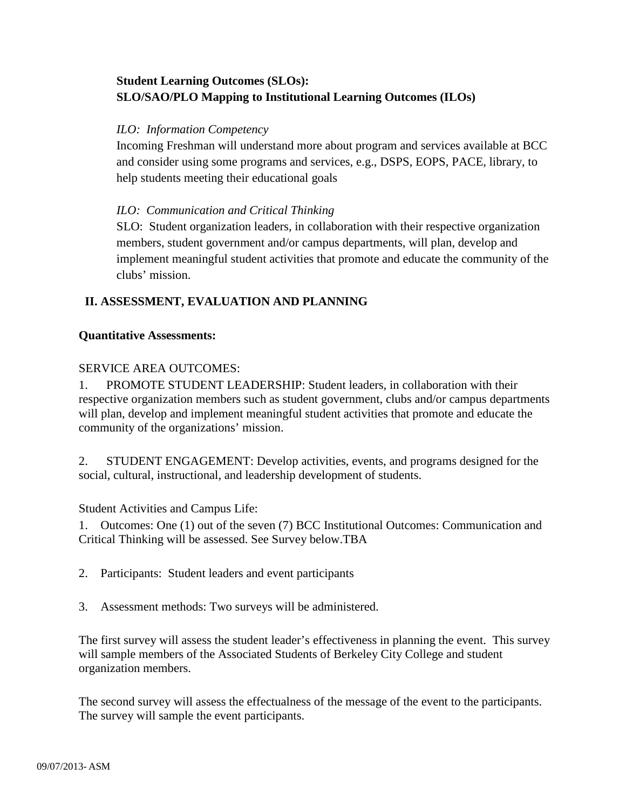## **Student Learning Outcomes (SLOs): SLO/SAO/PLO Mapping to Institutional Learning Outcomes (ILOs)**

## *ILO: Information Competency*

Incoming Freshman will understand more about program and services available at BCC and consider using some programs and services, e.g., DSPS, EOPS, PACE, library, to help students meeting their educational goals

## *ILO: Communication and Critical Thinking*

SLO: Student organization leaders, in collaboration with their respective organization members, student government and/or campus departments, will plan, develop and implement meaningful student activities that promote and educate the community of the clubs' mission.

## **II. ASSESSMENT, EVALUATION AND PLANNING**

## **Quantitative Assessments:**

## SERVICE AREA OUTCOMES:

1. PROMOTE STUDENT LEADERSHIP: Student leaders, in collaboration with their respective organization members such as student government, clubs and/or campus departments will plan, develop and implement meaningful student activities that promote and educate the community of the organizations' mission.

2. STUDENT ENGAGEMENT: Develop activities, events, and programs designed for the social, cultural, instructional, and leadership development of students.

Student Activities and Campus Life:

1. Outcomes: One (1) out of the seven (7) BCC Institutional Outcomes: Communication and Critical Thinking will be assessed. See Survey below.TBA

- 2. Participants: Student leaders and event participants
- 3. Assessment methods: Two surveys will be administered.

The first survey will assess the student leader's effectiveness in planning the event. This survey will sample members of the Associated Students of Berkeley City College and student organization members.

The second survey will assess the effectualness of the message of the event to the participants. The survey will sample the event participants.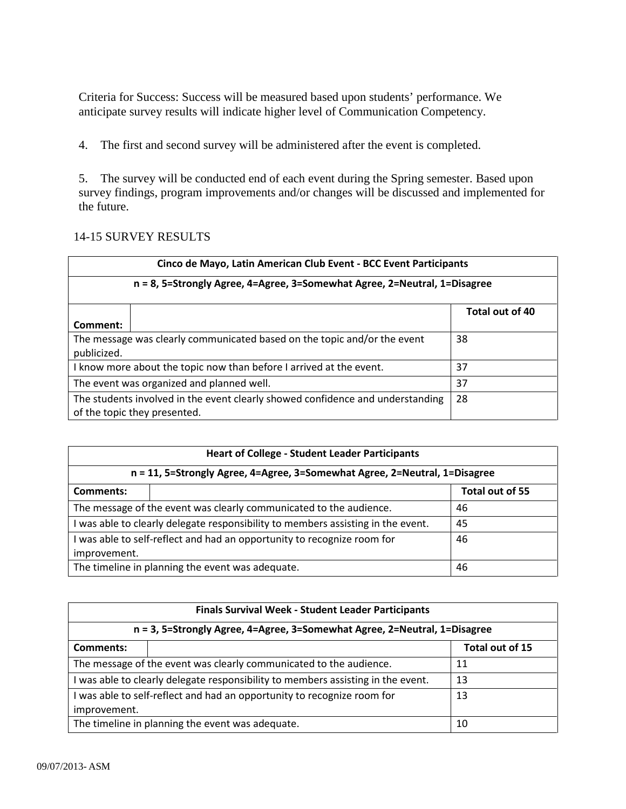Criteria for Success: Success will be measured based upon students' performance. We anticipate survey results will indicate higher level of Communication Competency.

4. The first and second survey will be administered after the event is completed.

5. The survey will be conducted end of each event during the Spring semester. Based upon survey findings, program improvements and/or changes will be discussed and implemented for the future.

## 14-15 SURVEY RESULTS

| Cinco de Mayo, Latin American Club Event - BCC Event Participants                                              |  |                 |  |  |
|----------------------------------------------------------------------------------------------------------------|--|-----------------|--|--|
| n = 8, 5=Strongly Agree, 4=Agree, 3=Somewhat Agree, 2=Neutral, 1=Disagree                                      |  |                 |  |  |
| Comment:                                                                                                       |  | Total out of 40 |  |  |
| The message was clearly communicated based on the topic and/or the event<br>publicized.                        |  | 38              |  |  |
| I know more about the topic now than before I arrived at the event.                                            |  | 37              |  |  |
| The event was organized and planned well.                                                                      |  | 37              |  |  |
| The students involved in the event clearly showed confidence and understanding<br>of the topic they presented. |  | 28              |  |  |

| <b>Heart of College - Student Leader Participants</b>                                   |  |                 |  |  |
|-----------------------------------------------------------------------------------------|--|-----------------|--|--|
| n = 11, 5=Strongly Agree, 4=Agree, 3=Somewhat Agree, 2=Neutral, 1=Disagree              |  |                 |  |  |
| Comments:                                                                               |  | Total out of 55 |  |  |
| The message of the event was clearly communicated to the audience.                      |  | 46              |  |  |
| I was able to clearly delegate responsibility to members assisting in the event.        |  | 45              |  |  |
| I was able to self-reflect and had an opportunity to recognize room for<br>improvement. |  | 46              |  |  |
| The timeline in planning the event was adequate.                                        |  | 46              |  |  |

| Finals Survival Week - Student Leader Participants                                      |  |                 |  |  |
|-----------------------------------------------------------------------------------------|--|-----------------|--|--|
| n = 3, 5=Strongly Agree, 4=Agree, 3=Somewhat Agree, 2=Neutral, 1=Disagree               |  |                 |  |  |
| <b>Comments:</b>                                                                        |  | Total out of 15 |  |  |
| The message of the event was clearly communicated to the audience.                      |  | 11              |  |  |
| I was able to clearly delegate responsibility to members assisting in the event.        |  | 13              |  |  |
| I was able to self-reflect and had an opportunity to recognize room for<br>improvement. |  | 13              |  |  |
| The timeline in planning the event was adequate.                                        |  | 10              |  |  |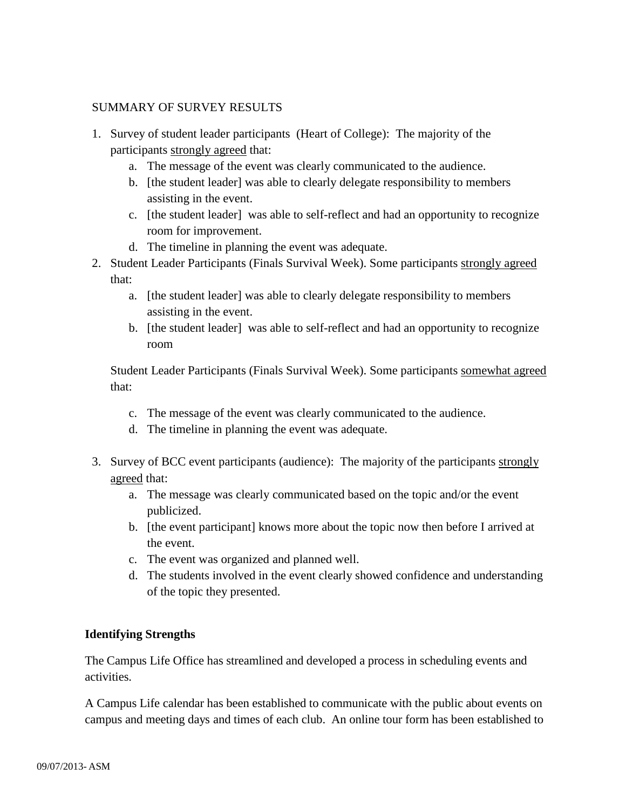## SUMMARY OF SURVEY RESULTS

- 1. Survey of student leader participants (Heart of College): The majority of the participants strongly agreed that:
	- a. The message of the event was clearly communicated to the audience.
	- b. [the student leader] was able to clearly delegate responsibility to members assisting in the event.
	- c. [the student leader] was able to self-reflect and had an opportunity to recognize room for improvement.
	- d. The timeline in planning the event was adequate.
- 2. Student Leader Participants (Finals Survival Week). Some participants strongly agreed that:
	- a. [the student leader] was able to clearly delegate responsibility to members assisting in the event.
	- b. [the student leader] was able to self-reflect and had an opportunity to recognize room

Student Leader Participants (Finals Survival Week). Some participants somewhat agreed that:

- c. The message of the event was clearly communicated to the audience.
- d. The timeline in planning the event was adequate.
- 3. Survey of BCC event participants (audience): The majority of the participants strongly agreed that:
	- a. The message was clearly communicated based on the topic and/or the event publicized.
	- b. [the event participant] knows more about the topic now then before I arrived at the event.
	- c. The event was organized and planned well.
	- d. The students involved in the event clearly showed confidence and understanding of the topic they presented.

## **Identifying Strengths**

The Campus Life Office has streamlined and developed a process in scheduling events and activities.

A Campus Life calendar has been established to communicate with the public about events on campus and meeting days and times of each club. An online tour form has been established to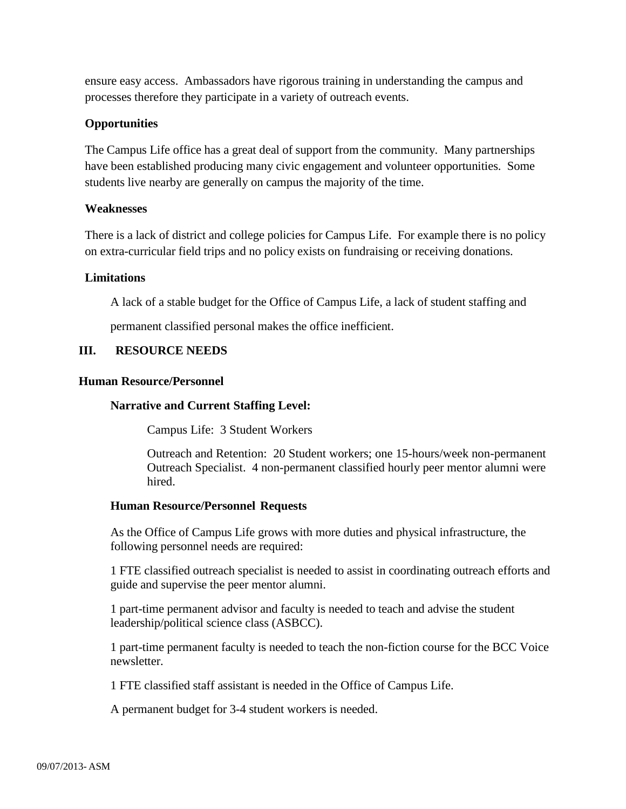ensure easy access. Ambassadors have rigorous training in understanding the campus and processes therefore they participate in a variety of outreach events.

## **Opportunities**

The Campus Life office has a great deal of support from the community. Many partnerships have been established producing many civic engagement and volunteer opportunities. Some students live nearby are generally on campus the majority of the time.

## **Weaknesses**

There is a lack of district and college policies for Campus Life. For example there is no policy on extra-curricular field trips and no policy exists on fundraising or receiving donations.

## **Limitations**

A lack of a stable budget for the Office of Campus Life, a lack of student staffing and

permanent classified personal makes the office inefficient.

## **III. RESOURCE NEEDS**

## **Human Resource/Personnel**

## **Narrative and Current Staffing Level:**

Campus Life: 3 Student Workers

Outreach and Retention: 20 Student workers; one 15-hours/week non-permanent Outreach Specialist. 4 non-permanent classified hourly peer mentor alumni were hired.

## **Human Resource/Personnel Requests**

As the Office of Campus Life grows with more duties and physical infrastructure, the following personnel needs are required:

1 FTE classified outreach specialist is needed to assist in coordinating outreach efforts and guide and supervise the peer mentor alumni.

1 part-time permanent advisor and faculty is needed to teach and advise the student leadership/political science class (ASBCC).

1 part-time permanent faculty is needed to teach the non-fiction course for the BCC Voice newsletter.

1 FTE classified staff assistant is needed in the Office of Campus Life.

A permanent budget for 3-4 student workers is needed.